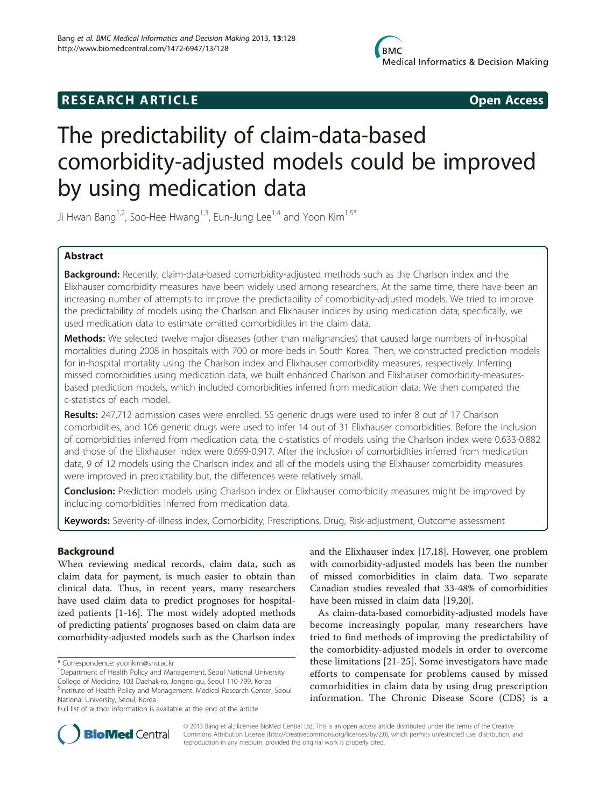## **RESEARCH ARTICLE Example 2014 CONSIDERING CONSIDERING CONSIDERING CONSIDERING CONSIDERING CONSIDERING CONSIDERING CONSIDERING CONSIDERING CONSIDERING CONSIDERING CONSIDERING CONSIDERING CONSIDERING CONSIDERING CONSIDE**

# The predictability of claim-data-based comorbidity-adjusted models could be improved by using medication data

Ji Hwan Bang<sup>1,2</sup>, Soo-Hee Hwang<sup>1,3</sup>, Eun-Jung Lee<sup>1,4</sup> and Yoon Kim<sup>1,5\*</sup>

## Abstract

Background: Recently, claim-data-based comorbidity-adjusted methods such as the Charlson index and the Elixhauser comorbidity measures have been widely used among researchers. At the same time, there have been an increasing number of attempts to improve the predictability of comorbidity-adjusted models. We tried to improve the predictability of models using the Charlson and Elixhauser indices by using medication data; specifically, we used medication data to estimate omitted comorbidities in the claim data.

Methods: We selected twelve major diseases (other than malignancies) that caused large numbers of in-hospital mortalities during 2008 in hospitals with 700 or more beds in South Korea. Then, we constructed prediction models for in-hospital mortality using the Charlson index and Elixhauser comorbidity measures, respectively. Inferring missed comorbidities using medication data, we built enhanced Charlson and Elixhauser comorbidity-measuresbased prediction models, which included comorbidities inferred from medication data. We then compared the c-statistics of each model.

Results: 247,712 admission cases were enrolled. 55 generic drugs were used to infer 8 out of 17 Charlson comorbidities, and 106 generic drugs were used to infer 14 out of 31 Elixhauser comorbidities. Before the inclusion of comorbidities inferred from medication data, the c-statistics of models using the Charlson index were 0.633-0.882 and those of the Elixhauser index were 0.699-0.917. After the inclusion of comorbidities inferred from medication data, 9 of 12 models using the Charlson index and all of the models using the Elixhauser comorbidity measures were improved in predictability but, the differences were relatively small.

**Conclusion:** Prediction models using Charlson index or Elixhauser comorbidity measures might be improved by including comorbidities inferred from medication data.

Keywords: Severity-of-illness index, Comorbidity, Prescriptions, Drug, Risk-adjustment, Outcome assessment

## **Background**

When reviewing medical records, claim data, such as claim data for payment, is much easier to obtain than clinical data. Thus, in recent years, many researchers have used claim data to predict prognoses for hospitalized patients [[1](#page-8-0)[-16\]](#page-9-0). The most widely adopted methods of predicting patients' prognoses based on claim data are comorbidity-adjusted models such as the Charlson index and the Elixhauser index [\[17,18\]](#page-9-0). However, one problem with comorbidity-adjusted models has been the number of missed comorbidities in claim data. Two separate Canadian studies revealed that 33-48% of comorbidities have been missed in claim data [[19,20](#page-9-0)].

As claim-data-based comorbidity-adjusted models have become increasingly popular, many researchers have tried to find methods of improving the predictability of the comorbidity-adjusted models in order to overcome these limitations [[21](#page-9-0)-[25](#page-9-0)]. Some investigators have made efforts to compensate for problems caused by missed comorbidities in claim data by using drug prescription information. The Chronic Disease Score (CDS) is a



© 2013 Bang et al.; licensee BioMed Central Ltd. This is an open access article distributed under the terms of the Creative Commons Attribution License [\(http://creativecommons.org/licenses/by/2.0\)](http://creativecommons.org/licenses/by/2.0), which permits unrestricted use, distribution, and reproduction in any medium, provided the original work is properly cited.

<sup>\*</sup> Correspondence: [yoonkim@snu.ac.kr](mailto:yoonkim@snu.ac.kr) <sup>1</sup>

<sup>&</sup>lt;sup>1</sup>Department of Health Policy and Management, Seoul National University College of Medicine, 103 Daehak-ro, Jongno-gu, Seoul 110-799, Korea 5 Institute of Health Policy and Management, Medical Research Center, Seoul National University, Seoul, Korea

Full list of author information is available at the end of the article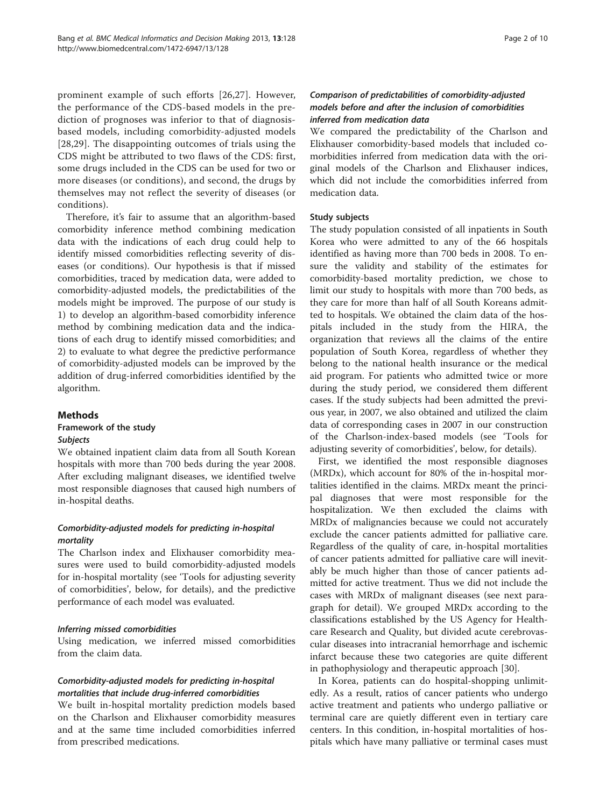prominent example of such efforts [\[26,27](#page-9-0)]. However, the performance of the CDS-based models in the prediction of prognoses was inferior to that of diagnosisbased models, including comorbidity-adjusted models [[28,29\]](#page-9-0). The disappointing outcomes of trials using the CDS might be attributed to two flaws of the CDS: first, some drugs included in the CDS can be used for two or more diseases (or conditions), and second, the drugs by themselves may not reflect the severity of diseases (or conditions).

Therefore, it's fair to assume that an algorithm-based comorbidity inference method combining medication data with the indications of each drug could help to identify missed comorbidities reflecting severity of diseases (or conditions). Our hypothesis is that if missed comorbidities, traced by medication data, were added to comorbidity-adjusted models, the predictabilities of the models might be improved. The purpose of our study is 1) to develop an algorithm-based comorbidity inference method by combining medication data and the indications of each drug to identify missed comorbidities; and 2) to evaluate to what degree the predictive performance of comorbidity-adjusted models can be improved by the addition of drug-inferred comorbidities identified by the algorithm.

#### **Methods**

### Framework of the study Subjects

We obtained inpatient claim data from all South Korean hospitals with more than 700 beds during the year 2008. After excluding malignant diseases, we identified twelve most responsible diagnoses that caused high numbers of in-hospital deaths.

## Comorbidity-adjusted models for predicting in-hospital mortality

The Charlson index and Elixhauser comorbidity measures were used to build comorbidity-adjusted models for in-hospital mortality (see '[Tools for adjusting severity](#page-2-0) [of comorbidities](#page-2-0)', below, for details), and the predictive performance of each model was evaluated.

#### Inferring missed comorbidities

Using medication, we inferred missed comorbidities from the claim data.

## Comorbidity-adjusted models for predicting in-hospital mortalities that include drug-inferred comorbidities

We built in-hospital mortality prediction models based on the Charlson and Elixhauser comorbidity measures and at the same time included comorbidities inferred from prescribed medications.

## Comparison of predictabilities of comorbidity-adjusted models before and after the inclusion of comorbidities inferred from medication data

We compared the predictability of the Charlson and Elixhauser comorbidity-based models that included comorbidities inferred from medication data with the original models of the Charlson and Elixhauser indices, which did not include the comorbidities inferred from medication data.

#### Study subjects

The study population consisted of all inpatients in South Korea who were admitted to any of the 66 hospitals identified as having more than 700 beds in 2008. To ensure the validity and stability of the estimates for comorbidity-based mortality prediction, we chose to limit our study to hospitals with more than 700 beds, as they care for more than half of all South Koreans admitted to hospitals. We obtained the claim data of the hospitals included in the study from the HIRA, the organization that reviews all the claims of the entire population of South Korea, regardless of whether they belong to the national health insurance or the medical aid program. For patients who admitted twice or more during the study period, we considered them different cases. If the study subjects had been admitted the previous year, in 2007, we also obtained and utilized the claim data of corresponding cases in 2007 in our construction of the Charlson-index-based models (see '[Tools for](#page-2-0) [adjusting severity of comorbidities](#page-2-0)', below, for details).

First, we identified the most responsible diagnoses (MRDx), which account for 80% of the in-hospital mortalities identified in the claims. MRDx meant the principal diagnoses that were most responsible for the hospitalization. We then excluded the claims with MRDx of malignancies because we could not accurately exclude the cancer patients admitted for palliative care. Regardless of the quality of care, in-hospital mortalities of cancer patients admitted for palliative care will inevitably be much higher than those of cancer patients admitted for active treatment. Thus we did not include the cases with MRDx of malignant diseases (see next paragraph for detail). We grouped MRDx according to the classifications established by the US Agency for Healthcare Research and Quality, but divided acute cerebrovascular diseases into intracranial hemorrhage and ischemic infarct because these two categories are quite different in pathophysiology and therapeutic approach [[30\]](#page-9-0).

In Korea, patients can do hospital-shopping unlimitedly. As a result, ratios of cancer patients who undergo active treatment and patients who undergo palliative or terminal care are quietly different even in tertiary care centers. In this condition, in-hospital mortalities of hospitals which have many palliative or terminal cases must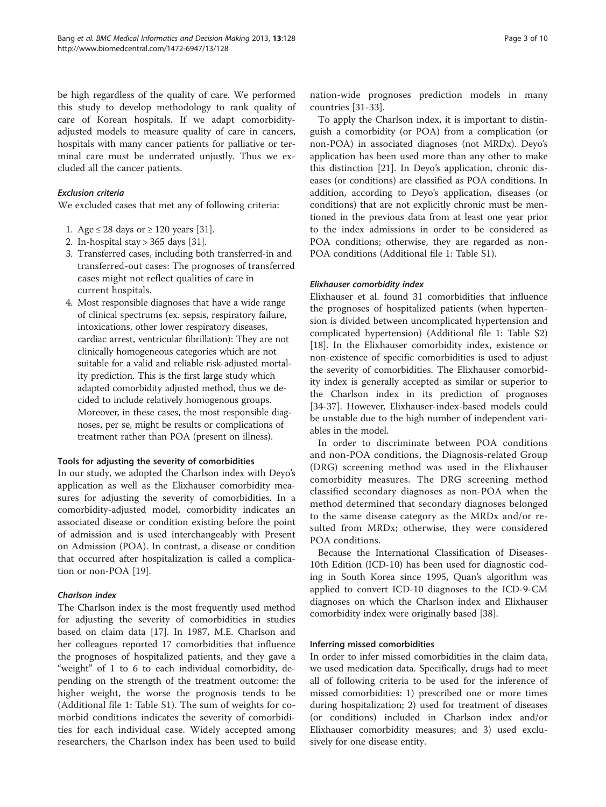<span id="page-2-0"></span>be high regardless of the quality of care. We performed this study to develop methodology to rank quality of care of Korean hospitals. If we adapt comorbidityadjusted models to measure quality of care in cancers, hospitals with many cancer patients for palliative or terminal care must be underrated unjustly. Thus we excluded all the cancer patients.

#### Exclusion criteria

We excluded cases that met any of following criteria:

- 1. Age  $\leq 28$  days or  $\geq 120$  years [\[31\]](#page-9-0).
- 2. In-hospital stay > 365 days [\[31](#page-9-0)].
- 3. Transferred cases, including both transferred-in and transferred-out cases: The prognoses of transferred cases might not reflect qualities of care in current hospitals.
- 4. Most responsible diagnoses that have a wide range of clinical spectrums (ex. sepsis, respiratory failure, intoxications, other lower respiratory diseases, cardiac arrest, ventricular fibrillation): They are not clinically homogeneous categories which are not suitable for a valid and reliable risk-adjusted mortality prediction. This is the first large study which adapted comorbidity adjusted method, thus we decided to include relatively homogenous groups. Moreover, in these cases, the most responsible diagnoses, per se, might be results or complications of treatment rather than POA (present on illness).

#### Tools for adjusting the severity of comorbidities

In our study, we adopted the Charlson index with Deyo's application as well as the Elixhauser comorbidity measures for adjusting the severity of comorbidities. In a comorbidity-adjusted model, comorbidity indicates an associated disease or condition existing before the point of admission and is used interchangeably with Present on Admission (POA). In contrast, a disease or condition that occurred after hospitalization is called a complication or non-POA [\[19](#page-9-0)].

#### Charlson index

The Charlson index is the most frequently used method for adjusting the severity of comorbidities in studies based on claim data [\[17\]](#page-9-0). In 1987, M.E. Charlson and her colleagues reported 17 comorbidities that influence the prognoses of hospitalized patients, and they gave a "weight" of 1 to 6 to each individual comorbidity, depending on the strength of the treatment outcome: the higher weight, the worse the prognosis tends to be (Additional file [1:](#page-8-0) Table S1). The sum of weights for comorbid conditions indicates the severity of comorbidities for each individual case. Widely accepted among researchers, the Charlson index has been used to build

nation-wide prognoses prediction models in many countries [\[31](#page-9-0)-[33\]](#page-9-0).

To apply the Charlson index, it is important to distinguish a comorbidity (or POA) from a complication (or non-POA) in associated diagnoses (not MRDx). Deyo's application has been used more than any other to make this distinction [\[21](#page-9-0)]. In Deyo's application, chronic diseases (or conditions) are classified as POA conditions. In addition, according to Deyo's application, diseases (or conditions) that are not explicitly chronic must be mentioned in the previous data from at least one year prior to the index admissions in order to be considered as POA conditions; otherwise, they are regarded as non-POA conditions (Additional file [1:](#page-8-0) Table S1).

#### Elixhauser comorbidity index

Elixhauser et al. found 31 comorbidities that influence the prognoses of hospitalized patients (when hypertension is divided between uncomplicated hypertension and complicated hypertension) (Additional file [1](#page-8-0): Table S2) [[18\]](#page-9-0). In the Elixhauser comorbidity index, existence or non-existence of specific comorbidities is used to adjust the severity of comorbidities. The Elixhauser comorbidity index is generally accepted as similar or superior to the Charlson index in its prediction of prognoses [[34-37](#page-9-0)]. However, Elixhauser-index-based models could be unstable due to the high number of independent variables in the model.

In order to discriminate between POA conditions and non-POA conditions, the Diagnosis-related Group (DRG) screening method was used in the Elixhauser comorbidity measures. The DRG screening method classified secondary diagnoses as non-POA when the method determined that secondary diagnoses belonged to the same disease category as the MRDx and/or resulted from MRDx; otherwise, they were considered POA conditions.

Because the International Classification of Diseases-10th Edition (ICD-10) has been used for diagnostic coding in South Korea since 1995, Quan's algorithm was applied to convert ICD-10 diagnoses to the ICD-9-CM diagnoses on which the Charlson index and Elixhauser comorbidity index were originally based [[38\]](#page-9-0).

#### Inferring missed comorbidities

In order to infer missed comorbidities in the claim data, we used medication data. Specifically, drugs had to meet all of following criteria to be used for the inference of missed comorbidities: 1) prescribed one or more times during hospitalization; 2) used for treatment of diseases (or conditions) included in Charlson index and/or Elixhauser comorbidity measures; and 3) used exclusively for one disease entity.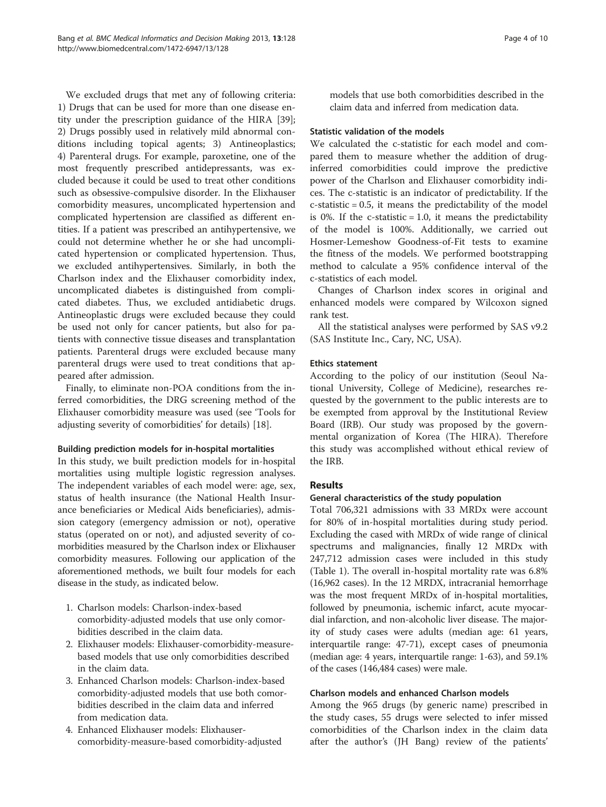We excluded drugs that met any of following criteria: 1) Drugs that can be used for more than one disease entity under the prescription guidance of the HIRA [\[39](#page-9-0)]; 2) Drugs possibly used in relatively mild abnormal conditions including topical agents; 3) Antineoplastics; 4) Parenteral drugs. For example, paroxetine, one of the most frequently prescribed antidepressants, was excluded because it could be used to treat other conditions such as obsessive-compulsive disorder. In the Elixhauser comorbidity measures, uncomplicated hypertension and complicated hypertension are classified as different entities. If a patient was prescribed an antihypertensive, we could not determine whether he or she had uncomplicated hypertension or complicated hypertension. Thus, we excluded antihypertensives. Similarly, in both the Charlson index and the Elixhauser comorbidity index, uncomplicated diabetes is distinguished from complicated diabetes. Thus, we excluded antidiabetic drugs. Antineoplastic drugs were excluded because they could be used not only for cancer patients, but also for patients with connective tissue diseases and transplantation patients. Parenteral drugs were excluded because many parenteral drugs were used to treat conditions that appeared after admission.

Finally, to eliminate non-POA conditions from the inferred comorbidities, the DRG screening method of the Elixhauser comorbidity measure was used (see '[Tools for](#page-2-0) [adjusting severity of comorbidities](#page-2-0)' for details) [[18\]](#page-9-0).

#### Building prediction models for in-hospital mortalities

In this study, we built prediction models for in-hospital mortalities using multiple logistic regression analyses. The independent variables of each model were: age, sex, status of health insurance (the National Health Insurance beneficiaries or Medical Aids beneficiaries), admission category (emergency admission or not), operative status (operated on or not), and adjusted severity of comorbidities measured by the Charlson index or Elixhauser comorbidity measures. Following our application of the aforementioned methods, we built four models for each disease in the study, as indicated below.

- 1. Charlson models: Charlson-index-based comorbidity-adjusted models that use only comorbidities described in the claim data.
- 2. Elixhauser models: Elixhauser-comorbidity-measurebased models that use only comorbidities described in the claim data.
- 3. Enhanced Charlson models: Charlson-index-based comorbidity-adjusted models that use both comorbidities described in the claim data and inferred from medication data.
- 4. Enhanced Elixhauser models: Elixhausercomorbidity-measure-based comorbidity-adjusted

models that use both comorbidities described in the claim data and inferred from medication data.

#### Statistic validation of the models

We calculated the c-statistic for each model and compared them to measure whether the addition of druginferred comorbidities could improve the predictive power of the Charlson and Elixhauser comorbidity indices. The c-statistic is an indicator of predictability. If the c-statistic = 0.5, it means the predictability of the model is 0%. If the c-statistic  $= 1.0$ , it means the predictability of the model is 100%. Additionally, we carried out Hosmer-Lemeshow Goodness-of-Fit tests to examine the fitness of the models. We performed bootstrapping method to calculate a 95% confidence interval of the c-statistics of each model.

Changes of Charlson index scores in original and enhanced models were compared by Wilcoxon signed rank test.

All the statistical analyses were performed by SAS v9.2 (SAS Institute Inc., Cary, NC, USA).

#### Ethics statement

According to the policy of our institution (Seoul National University, College of Medicine), researches requested by the government to the public interests are to be exempted from approval by the Institutional Review Board (IRB). Our study was proposed by the governmental organization of Korea (The HIRA). Therefore this study was accomplished without ethical review of the IRB.

### Results

#### General characteristics of the study population

Total 706,321 admissions with 33 MRDx were account for 80% of in-hospital mortalities during study period. Excluding the cased with MRDx of wide range of clinical spectrums and malignancies, finally 12 MRDx with 247,712 admission cases were included in this study (Table [1](#page-4-0)). The overall in-hospital mortality rate was 6.8% (16,962 cases). In the 12 MRDX, intracranial hemorrhage was the most frequent MRDx of in-hospital mortalities, followed by pneumonia, ischemic infarct, acute myocardial infarction, and non-alcoholic liver disease. The majority of study cases were adults (median age: 61 years, interquartile range: 47-71), except cases of pneumonia (median age: 4 years, interquartile range: 1-63), and 59.1% of the cases (146,484 cases) were male.

#### Charlson models and enhanced Charlson models

Among the 965 drugs (by generic name) prescribed in the study cases, 55 drugs were selected to infer missed comorbidities of the Charlson index in the claim data after the author's (JH Bang) review of the patients'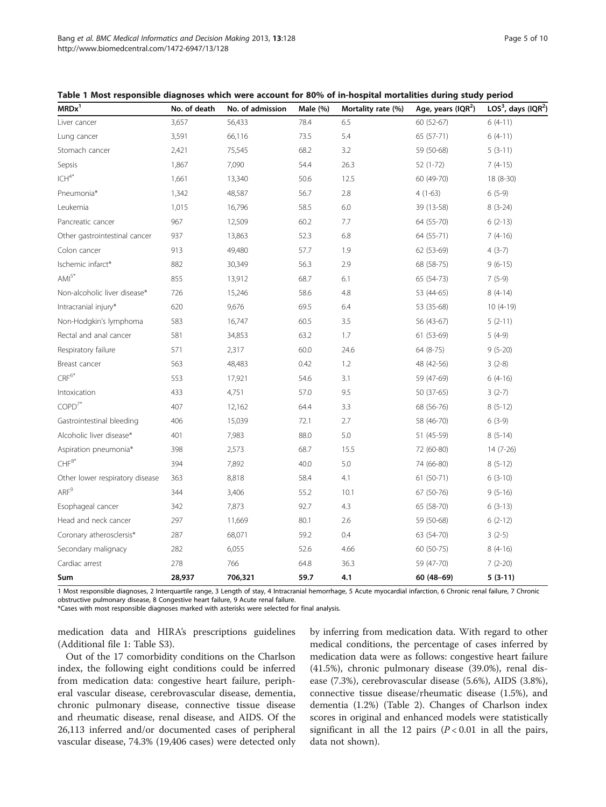<span id="page-4-0"></span>Bang et al. BMC Medical Informatics and Decision Making 2013, 13:128 Page 5 of 10 http://www.biomedcentral.com/1472-6947/13/128

| MRDx <sup>1</sup>               | No. of death | No. of admission | Male (%) | Mortality rate (%) | Age, years (IQR <sup>2</sup> ) | LOS <sup>3</sup> , days (IQR <sup>2</sup> ) |
|---------------------------------|--------------|------------------|----------|--------------------|--------------------------------|---------------------------------------------|
| Liver cancer                    | 3,657        | 56,433           | 78.4     | 6.5                | 60 (52-67)                     | $6(4-11)$                                   |
| Lung cancer                     | 3,591        | 66,116           | 73.5     | 5.4                | 65 (57-71)                     | $6(4-11)$                                   |
| Stomach cancer                  | 2,421        | 75,545           | 68.2     | 3.2                | 59 (50-68)                     | $5(3-11)$                                   |
| Sepsis                          | 1,867        | 7,090            | 54.4     | 26.3               | $52(1-72)$                     | $7(4-15)$                                   |
| $ICH^{4*}$                      | 1,661        | 13,340           | 50.6     | 12.5               | 60 (49-70)                     | 18 (8-30)                                   |
| Pneumonia*                      | 1,342        | 48,587           | 56.7     | 2.8                | $4(1-63)$                      | $6(5-9)$                                    |
| Leukemia                        | 1,015        | 16,796           | 58.5     | 6.0                | 39 (13-58)                     | $8(3-24)$                                   |
| Pancreatic cancer               | 967          | 12,509           | 60.2     | 7.7                | 64 (55-70)                     | $6(2-13)$                                   |
| Other gastrointestinal cancer   | 937          | 13,863           | 52.3     | 6.8                | 64 (55-71)                     | $7(4-16)$                                   |
| Colon cancer                    | 913          | 49,480           | 57.7     | 1.9                | 62 (53-69)                     | $4(3-7)$                                    |
| Ischemic infarct*               | 882          | 30,349           | 56.3     | 2.9                | 68 (58-75)                     | $9(6-15)$                                   |
| $AMI^{5*}$                      | 855          | 13,912           | 68.7     | 6.1                | 65 (54-73)                     | $7(5-9)$                                    |
| Non-alcoholic liver disease*    | 726          | 15,246           | 58.6     | 4.8                | 53 (44-65)                     | $8(4-14)$                                   |
| Intracranial injury*            | 620          | 9,676            | 69.5     | 6.4                | 53 (35-68)                     | $10(4-19)$                                  |
| Non-Hodgkin's lymphoma          | 583          | 16,747           | 60.5     | 3.5                | 56 (43-67)                     | $5(2-11)$                                   |
| Rectal and anal cancer          | 581          | 34,853           | 63.2     | 1.7                | 61 (53-69)                     | $5(4-9)$                                    |
| Respiratory failure             | 571          | 2,317            | 60.0     | 24.6               | 64 (8-75)                      | $9(5-20)$                                   |
| Breast cancer                   | 563          | 48,483           | 0.42     | 1.2                | 48 (42-56)                     | $3(2-8)$                                    |
| $CRF^{6*}$                      | 553          | 17,921           | 54.6     | 3.1                | 59 (47-69)                     | $6(4-16)$                                   |
| Intoxication                    | 433          | 4,751            | 57.0     | 9.5                | 50 (37-65)                     | $3(2-7)$                                    |
| $COPD^{7*}$                     | 407          | 12,162           | 64.4     | 3.3                | 68 (56-76)                     | $8(5-12)$                                   |
| Gastrointestinal bleeding       | 406          | 15,039           | 72.1     | 2.7                | 58 (46-70)                     | $6(3-9)$                                    |
| Alcoholic liver disease*        | 401          | 7,983            | 88.0     | 5.0                | 51 (45-59)                     | $8(5-14)$                                   |
| Aspiration pneumonia*           | 398          | 2,573            | 68.7     | 15.5               | 72 (60-80)                     | 14 (7-26)                                   |
| $\mathsf{CHF}^{8^*}$            | 394          | 7,892            | 40.0     | 5.0                | 74 (66-80)                     | $8(5-12)$                                   |
| Other lower respiratory disease | 363          | 8,818            | 58.4     | 4.1                | $61(50-71)$                    | $6(3-10)$                                   |
| ARF <sup>9</sup>                | 344          | 3,406            | 55.2     | 10.1               | 67 (50-76)                     | $9(5-16)$                                   |
| Esophageal cancer               | 342          | 7,873            | 92.7     | 4.3                | 65 (58-70)                     | $6(3-13)$                                   |
| Head and neck cancer            | 297          | 11,669           | 80.1     | 2.6                | 59 (50-68)                     | $6(2-12)$                                   |
| Coronary atherosclersis*        | 287          | 68,071           | 59.2     | 0.4                | 63 (54-70)                     | $3(2-5)$                                    |
| Secondary malignacy             | 282          | 6,055            | 52.6     | 4.66               | 60 (50-75)                     | $8(4-16)$                                   |
| Cardiac arrest                  | 278          | 766              | 64.8     | 36.3               | 59 (47-70)                     | $7(2-20)$                                   |
| Sum                             | 28,937       | 706,321          | 59.7     | 4.1                | 60 (48-69)                     | $5(3-11)$                                   |

|  |  |  | Table 1 Most responsible diagnoses which were account for 80% of in-hospital mortalities during study period |  |  |
|--|--|--|--------------------------------------------------------------------------------------------------------------|--|--|
|--|--|--|--------------------------------------------------------------------------------------------------------------|--|--|

1 Most responsible diagnoses, 2 Interquartile range, 3 Length of stay, 4 Intracranial hemorrhage, 5 Acute myocardial infarction, 6 Chronic renal failure, 7 Chronic obstructive pulmonary disease, 8 Congestive heart failure, 9 Acute renal failure.

\*Cases with most responsible diagnoses marked with asterisks were selected for final analysis.

medication data and HIRA's prescriptions guidelines (Additional file [1](#page-8-0): Table S3).

Out of the 17 comorbidity conditions on the Charlson index, the following eight conditions could be inferred from medication data: congestive heart failure, peripheral vascular disease, cerebrovascular disease, dementia, chronic pulmonary disease, connective tissue disease and rheumatic disease, renal disease, and AIDS. Of the 26,113 inferred and/or documented cases of peripheral vascular disease, 74.3% (19,406 cases) were detected only by inferring from medication data. With regard to other medical conditions, the percentage of cases inferred by medication data were as follows: congestive heart failure (41.5%), chronic pulmonary disease (39.0%), renal disease (7.3%), cerebrovascular disease (5.6%), AIDS (3.8%), connective tissue disease/rheumatic disease (1.5%), and dementia (1.2%) (Table [2](#page-5-0)). Changes of Charlson index scores in original and enhanced models were statistically significant in all the 12 pairs  $(P < 0.01$  in all the pairs, data not shown).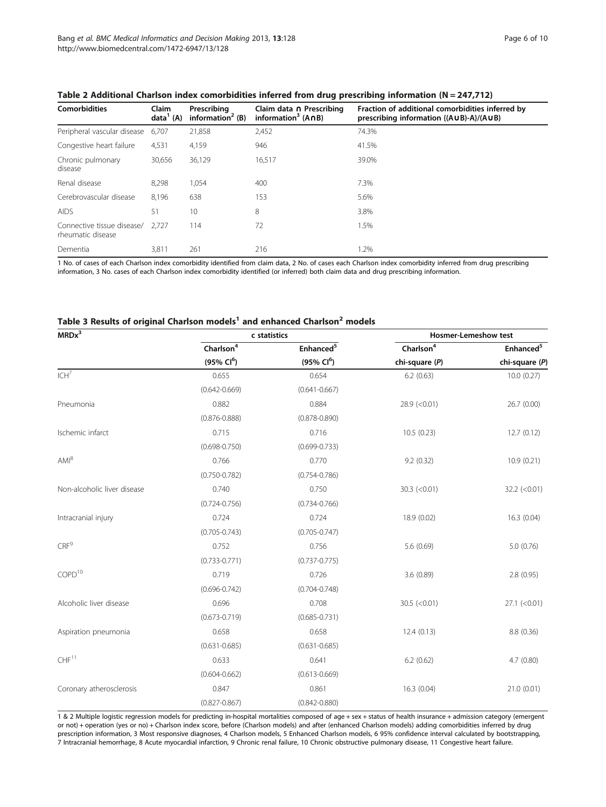| <b>Comorbidities</b>                            | Claim<br>data <sup>1</sup> (A) | Prescribing<br>information <sup>2</sup> (B) | Claim data n Prescribing<br>information <sup>3</sup> $(ADB)$ | Fraction of additional comorbidities inferred by<br>prescribing information {(AUB)-A}/(AUB) |
|-------------------------------------------------|--------------------------------|---------------------------------------------|--------------------------------------------------------------|---------------------------------------------------------------------------------------------|
| Peripheral vascular disease                     | 6,707                          | 21,858                                      | 2,452                                                        | 74.3%                                                                                       |
| Congestive heart failure                        | 4,531                          | 4,159                                       | 946                                                          | 41.5%                                                                                       |
| Chronic pulmonary<br>disease                    | 30,656                         | 36,129                                      | 16,517                                                       | 39.0%                                                                                       |
| Renal disease                                   | 8.298                          | 1.054                                       | 400                                                          | 7.3%                                                                                        |
| Cerebrovascular disease                         | 8,196                          | 638                                         | 153                                                          | 5.6%                                                                                        |
| <b>AIDS</b>                                     | 51                             | 10                                          | 8                                                            | 3.8%                                                                                        |
| Connective tissue disease/<br>rheumatic disease | 2.727                          | 114                                         | 72                                                           | 1.5%                                                                                        |
| Dementia                                        | 3,811                          | 261                                         | 216                                                          | 1.2%                                                                                        |

<span id="page-5-0"></span>

1 No. of cases of each Charlson index comorbidity identified from claim data, 2 No. of cases each Charlson index comorbidity inferred from drug prescribing information, 3 No. cases of each Charlson index comorbidity identified (or inferred) both claim data and drug prescribing information.

## Table 3 Results of original Charlson models<sup>1</sup> and enhanced Charlson<sup>2</sup> models

| MRDx <sup>3</sup>           |                        | c statistics           |                       | <b>Hosmer-Lemeshow test</b> |
|-----------------------------|------------------------|------------------------|-----------------------|-----------------------------|
|                             | Charlson <sup>4</sup>  | Enhanced <sup>5</sup>  | Charlson <sup>4</sup> | Enhanced <sup>5</sup>       |
|                             | (95% Cl <sup>6</sup> ) | (95% Cl <sup>6</sup> ) | chi-square (P)        | chi-square (P)              |
| ICH <sup>7</sup>            | 0.655                  | 0.654                  | 6.2(0.63)             | 10.0(0.27)                  |
|                             | $(0.642 - 0.669)$      | $(0.641 - 0.667)$      |                       |                             |
| Pneumonia                   | 0.882                  | 0.884                  | $28.9$ (<0.01)        | 26.7 (0.00)                 |
|                             | $(0.876 - 0.888)$      | $(0.878 - 0.890)$      |                       |                             |
| Ischemic infarct            | 0.715                  | 0.716                  | 10.5(0.23)            | 12.7(0.12)                  |
|                             | $(0.698 - 0.750)$      | $(0.699 - 0.733)$      |                       |                             |
| AM <sup>8</sup>             | 0.766                  | 0.770                  | 9.2(0.32)             | 10.9 (0.21)                 |
|                             | $(0.750 - 0.782)$      | $(0.754 - 0.786)$      |                       |                             |
| Non-alcoholic liver disease | 0.740                  | 0.750                  | $30.3$ (<0.01)        | $32.2$ (<0.01)              |
|                             | $(0.724 - 0.756)$      | $(0.734 - 0.766)$      |                       |                             |
| Intracranial injury         | 0.724                  | 0.724                  | 18.9 (0.02)           | 16.3(0.04)                  |
|                             | $(0.705 - 0.743)$      | $(0.705 - 0.747)$      |                       |                             |
| CRF <sup>9</sup>            | 0.752                  | 0.756                  | 5.6 (0.69)            | 5.0(0.76)                   |
|                             | $(0.733 - 0.771)$      | $(0.737 - 0.775)$      |                       |                             |
| COPD <sup>10</sup>          | 0.719                  | 0.726                  | 3.6(0.89)             | 2.8(0.95)                   |
|                             | $(0.696 - 0.742)$      | $(0.704 - 0.748)$      |                       |                             |
| Alcoholic liver disease     | 0.696                  | 0.708                  | $30.5$ (<0.01)        | $27.1$ (<0.01)              |
|                             | $(0.673 - 0.719)$      | $(0.685 - 0.731)$      |                       |                             |
| Aspiration pneumonia        | 0.658                  | 0.658                  | 12.4(0.13)            | 8.8 (0.36)                  |
|                             | $(0.631 - 0.685)$      | $(0.631 - 0.685)$      |                       |                             |
| CHF <sup>11</sup>           | 0.633                  | 0.641                  | 6.2(0.62)             | 4.7(0.80)                   |
|                             | $(0.604 - 0.662)$      | $(0.613 - 0.669)$      |                       |                             |
| Coronary atherosclerosis    | 0.847                  | 0.861                  | 16.3(0.04)            | 21.0(0.01)                  |
|                             | $(0.827 - 0.867)$      | $(0.842 - 0.880)$      |                       |                             |

1 & 2 Multiple logistic regression models for predicting in-hospital mortalities composed of age + sex + status of health insurance + admission category (emergent or not) + operation (yes or no) + Charlson index score, before (Charlson models) and after (enhanced Charlson models) adding comorbidities inferred by drug prescription information, 3 Most responsive diagnoses, 4 Charlson models, 5 Enhanced Charlson models, 6 95% confidence interval calculated by bootstrapping, 7 Intracranial hemorrhage, 8 Acute myocardial infarction, 9 Chronic renal failure, 10 Chronic obstructive pulmonary disease, 11 Congestive heart failure.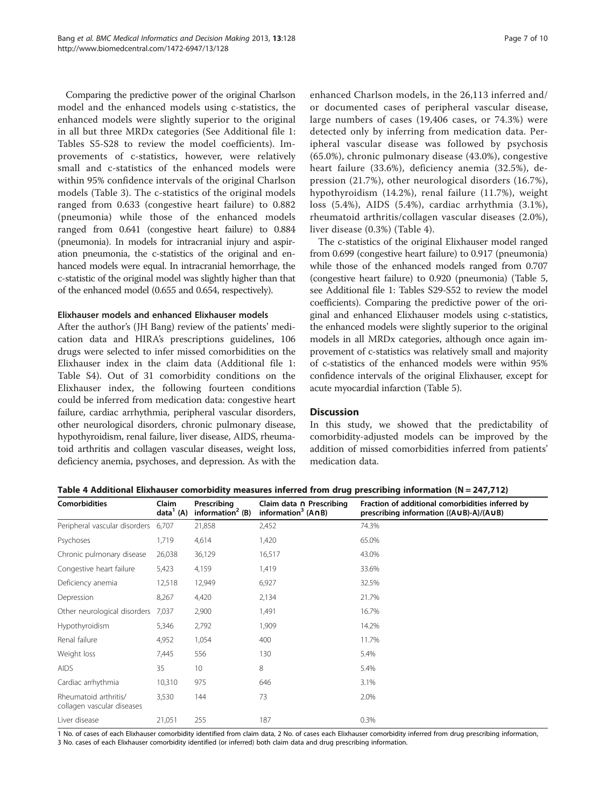<span id="page-6-0"></span>Comparing the predictive power of the original Charlson model and the enhanced models using c-statistics, the enhanced models were slightly superior to the original in all but three MRDx categories (See Additional file [1](#page-8-0): Tables S5-S28 to review the model coefficients). Improvements of c-statistics, however, were relatively small and c-statistics of the enhanced models were within 95% confidence intervals of the original Charlson models (Table [3\)](#page-5-0). The c-statistics of the original models ranged from 0.633 (congestive heart failure) to 0.882 (pneumonia) while those of the enhanced models ranged from 0.641 (congestive heart failure) to 0.884 (pneumonia). In models for intracranial injury and aspiration pneumonia, the c-statistics of the original and enhanced models were equal. In intracranial hemorrhage, the c-statistic of the original model was slightly higher than that of the enhanced model (0.655 and 0.654, respectively).

#### Elixhauser models and enhanced Elixhauser models

After the author's (JH Bang) review of the patients' medication data and HIRA's prescriptions guidelines, 106 drugs were selected to infer missed comorbidities on the Elixhauser index in the claim data (Additional file [1](#page-8-0): Table S4). Out of 31 comorbidity conditions on the Elixhauser index, the following fourteen conditions could be inferred from medication data: congestive heart failure, cardiac arrhythmia, peripheral vascular disorders, other neurological disorders, chronic pulmonary disease, hypothyroidism, renal failure, liver disease, AIDS, rheumatoid arthritis and collagen vascular diseases, weight loss, deficiency anemia, psychoses, and depression. As with the enhanced Charlson models, in the 26,113 inferred and/ or documented cases of peripheral vascular disease, large numbers of cases (19,406 cases, or 74.3%) were detected only by inferring from medication data. Peripheral vascular disease was followed by psychosis (65.0%), chronic pulmonary disease (43.0%), congestive heart failure (33.6%), deficiency anemia (32.5%), depression (21.7%), other neurological disorders (16.7%), hypothyroidism (14.2%), renal failure (11.7%), weight loss (5.4%), AIDS (5.4%), cardiac arrhythmia (3.1%), rheumatoid arthritis/collagen vascular diseases (2.0%), liver disease (0.3%) (Table 4).

The c-statistics of the original Elixhauser model ranged from 0.699 (congestive heart failure) to 0.917 (pneumonia) while those of the enhanced models ranged from 0.707 (congestive heart failure) to 0.920 (pneumonia) (Table [5](#page-7-0), see Additional file [1](#page-8-0): Tables S29-S52 to review the model coefficients). Comparing the predictive power of the original and enhanced Elixhauser models using c-statistics, the enhanced models were slightly superior to the original models in all MRDx categories, although once again improvement of c-statistics was relatively small and majority of c-statistics of the enhanced models were within 95% confidence intervals of the original Elixhauser, except for acute myocardial infarction (Table [5\)](#page-7-0).

#### **Discussion**

In this study, we showed that the predictability of comorbidity-adjusted models can be improved by the addition of missed comorbidities inferred from patients' medication data.

Table 4 Additional Elixhauser comorbidity measures inferred from drug prescribing information (N = 247,712)

| <b>Comorbidities</b>                                | Claim<br>data <sup>1</sup> (A) | Prescribing<br>information <sup>2</sup> (B) | Claim data n Prescribing<br>information <sup>3</sup> $(ADB)$ | Fraction of additional comorbidities inferred by<br>prescribing information {(AUB)-A}/(AUB) |
|-----------------------------------------------------|--------------------------------|---------------------------------------------|--------------------------------------------------------------|---------------------------------------------------------------------------------------------|
| Peripheral vascular disorders                       | 6,707                          | 21,858                                      | 2,452                                                        | 74.3%                                                                                       |
| Psychoses                                           | 1,719                          | 4,614                                       | 1,420                                                        | 65.0%                                                                                       |
| Chronic pulmonary disease                           | 26,038                         | 36,129                                      | 16,517                                                       | 43.0%                                                                                       |
| Congestive heart failure                            | 5,423                          | 4,159                                       | 1,419                                                        | 33.6%                                                                                       |
| Deficiency anemia                                   | 12,518                         | 12,949                                      | 6,927                                                        | 32.5%                                                                                       |
| Depression                                          | 8,267                          | 4,420                                       | 2,134                                                        | 21.7%                                                                                       |
| Other neurological disorders                        | 7,037                          | 2,900                                       | 1,491                                                        | 16.7%                                                                                       |
| Hypothyroidism                                      | 5,346                          | 2,792                                       | 1,909                                                        | 14.2%                                                                                       |
| Renal failure                                       | 4,952                          | 1,054                                       | 400                                                          | 11.7%                                                                                       |
| Weight loss                                         | 7,445                          | 556                                         | 130                                                          | 5.4%                                                                                        |
| <b>AIDS</b>                                         | 35                             | 10                                          | 8                                                            | 5.4%                                                                                        |
| Cardiac arrhythmia                                  | 10,310                         | 975                                         | 646                                                          | 3.1%                                                                                        |
| Rheumatoid arthritis/<br>collagen vascular diseases | 3,530                          | 144                                         | 73                                                           | 2.0%                                                                                        |
| Liver disease                                       | 21,051                         | 255                                         | 187                                                          | 0.3%                                                                                        |

1 No. of cases of each Elixhauser comorbidity identified from claim data, 2 No. of cases each Elixhauser comorbidity inferred from drug prescribing information, 3 No. cases of each Elixhauser comorbidity identified (or inferred) both claim data and drug prescribing information.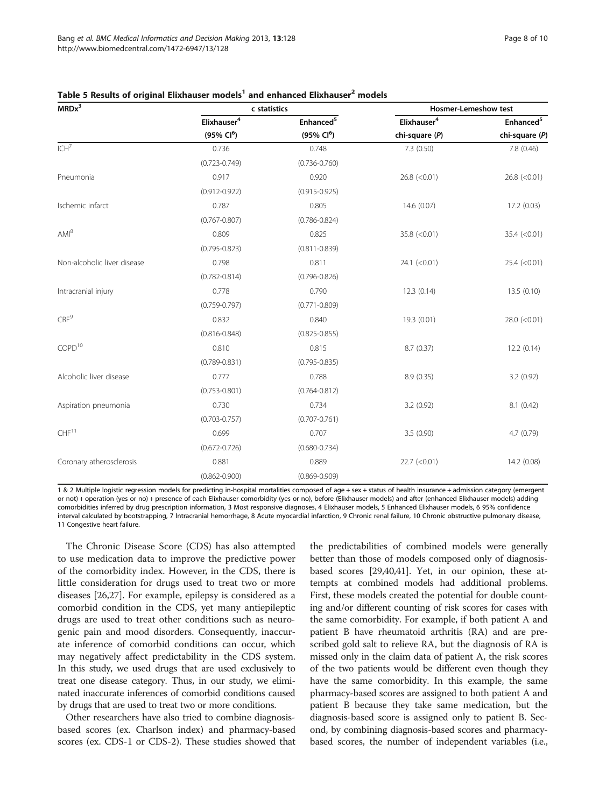| MRDx <sup>3</sup>           |                         | c statistics          | <b>Hosmer-Lemeshow test</b> |                                         |  |
|-----------------------------|-------------------------|-----------------------|-----------------------------|-----------------------------------------|--|
|                             | Elixhauser <sup>4</sup> | Enhanced <sup>5</sup> | Elixhauser <sup>4</sup>     | Enhanced <sup>5</sup><br>chi-square (P) |  |
|                             | $(95\% \, Cl^6)$        | $(95\% \, Cl^6)$      | chi-square (P)              |                                         |  |
| ICH <sup>7</sup>            | 0.736                   | 0.748                 | 7.3(0.50)                   | 7.8 (0.46)                              |  |
|                             | $(0.723 - 0.749)$       | $(0.736 - 0.760)$     |                             |                                         |  |
| Pneumonia                   | 0.917                   | 0.920                 | $26.8$ (<0.01)              | $26.8$ (<0.01)                          |  |
|                             | $(0.912 - 0.922)$       | $(0.915 - 0.925)$     |                             |                                         |  |
| Ischemic infarct            | 0.787                   | 0.805                 | 14.6 (0.07)                 | 17.2 (0.03)                             |  |
|                             | $(0.767 - 0.807)$       | $(0.786 - 0.824)$     |                             |                                         |  |
| $AMI^8$                     | 0.809                   | 0.825                 | $35.8$ (<0.01)              | 35.4 (< 0.01)                           |  |
|                             | $(0.795 - 0.823)$       | $(0.811 - 0.839)$     |                             |                                         |  |
| Non-alcoholic liver disease | 0.798                   | 0.811                 | $24.1$ (<0.01)              | $25.4$ (<0.01)                          |  |
|                             | $(0.782 - 0.814)$       | $(0.796 - 0.826)$     |                             |                                         |  |
| Intracranial injury         | 0.778                   | 0.790                 | 12.3(0.14)                  | 13.5 (0.10)                             |  |
|                             | $(0.759 - 0.797)$       | $(0.771 - 0.809)$     |                             |                                         |  |
| CRF <sup>9</sup>            | 0.832                   | 0.840                 | 19.3 (0.01)                 | $28.0$ (<0.01)                          |  |
|                             | $(0.816 - 0.848)$       | $(0.825 - 0.855)$     |                             |                                         |  |
| COPD <sup>10</sup>          | 0.810                   | 0.815                 | 8.7(0.37)                   | 12.2(0.14)                              |  |
|                             | $(0.789 - 0.831)$       | $(0.795 - 0.835)$     |                             |                                         |  |
| Alcoholic liver disease     | 0.777                   | 0.788                 | 8.9(0.35)                   | 3.2(0.92)                               |  |
|                             | $(0.753 - 0.801)$       | $(0.764 - 0.812)$     |                             |                                         |  |
| Aspiration pneumonia        | 0.730                   | 0.734                 | 3.2(0.92)                   | 8.1(0.42)                               |  |
|                             | $(0.703 - 0.757)$       | $(0.707 - 0.761)$     |                             |                                         |  |
| CHF <sup>11</sup>           | 0.699                   | 0.707                 | 3.5(0.90)                   | 4.7(0.79)                               |  |
|                             | $(0.672 - 0.726)$       | $(0.680 - 0.734)$     |                             |                                         |  |
| Coronary atherosclerosis    | 0.881                   | 0.889                 | $22.7$ (<0.01)              | 14.2 (0.08)                             |  |
|                             | $(0.862 - 0.900)$       | $(0.869 - 0.909)$     |                             |                                         |  |

<span id="page-7-0"></span>

| Table 5 Results of original Elixhauser models <sup>1</sup> and enhanced Elixhauser <sup>2</sup> models |  |
|--------------------------------------------------------------------------------------------------------|--|
|--------------------------------------------------------------------------------------------------------|--|

1 & 2 Multiple logistic regression models for predicting in-hospital mortalities composed of age + sex + status of health insurance + admission category (emergent or not) + operation (yes or no) + presence of each Elixhauser comorbidity (yes or no), before (Elixhauser models) and after (enhanced Elixhauser models) adding comorbidities inferred by drug prescription information, 3 Most responsive diagnoses, 4 Elixhauser models, 5 Enhanced Elixhauser models, 6 95% confidence interval calculated by bootstrapping, 7 Intracranial hemorrhage, 8 Acute myocardial infarction, 9 Chronic renal failure, 10 Chronic obstructive pulmonary disease, 11 Congestive heart failure.

The Chronic Disease Score (CDS) has also attempted to use medication data to improve the predictive power of the comorbidity index. However, in the CDS, there is little consideration for drugs used to treat two or more diseases [\[26,27](#page-9-0)]. For example, epilepsy is considered as a comorbid condition in the CDS, yet many antiepileptic drugs are used to treat other conditions such as neurogenic pain and mood disorders. Consequently, inaccurate inference of comorbid conditions can occur, which may negatively affect predictability in the CDS system. In this study, we used drugs that are used exclusively to treat one disease category. Thus, in our study, we eliminated inaccurate inferences of comorbid conditions caused by drugs that are used to treat two or more conditions.

Other researchers have also tried to combine diagnosisbased scores (ex. Charlson index) and pharmacy-based scores (ex. CDS-1 or CDS-2). These studies showed that the predictabilities of combined models were generally better than those of models composed only of diagnosisbased scores [\[29,40,41](#page-9-0)]. Yet, in our opinion, these attempts at combined models had additional problems. First, these models created the potential for double counting and/or different counting of risk scores for cases with the same comorbidity. For example, if both patient A and patient B have rheumatoid arthritis (RA) and are prescribed gold salt to relieve RA, but the diagnosis of RA is missed only in the claim data of patient A, the risk scores of the two patients would be different even though they have the same comorbidity. In this example, the same pharmacy-based scores are assigned to both patient A and patient B because they take same medication, but the diagnosis-based score is assigned only to patient B. Second, by combining diagnosis-based scores and pharmacybased scores, the number of independent variables (i.e.,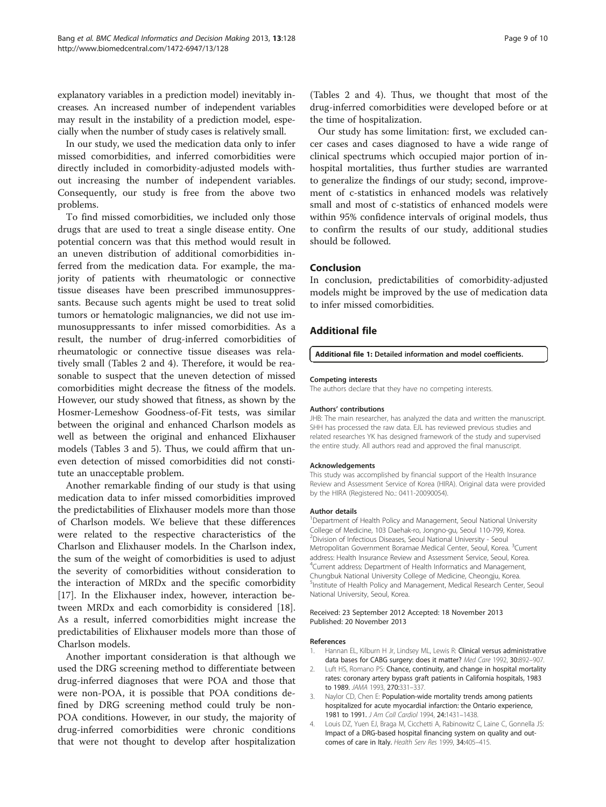<span id="page-8-0"></span>explanatory variables in a prediction model) inevitably increases. An increased number of independent variables may result in the instability of a prediction model, especially when the number of study cases is relatively small.

In our study, we used the medication data only to infer missed comorbidities, and inferred comorbidities were directly included in comorbidity-adjusted models without increasing the number of independent variables. Consequently, our study is free from the above two problems.

To find missed comorbidities, we included only those drugs that are used to treat a single disease entity. One potential concern was that this method would result in an uneven distribution of additional comorbidities inferred from the medication data. For example, the majority of patients with rheumatologic or connective tissue diseases have been prescribed immunosuppressants. Because such agents might be used to treat solid tumors or hematologic malignancies, we did not use immunosuppressants to infer missed comorbidities. As a result, the number of drug-inferred comorbidities of rheumatologic or connective tissue diseases was relatively small (Tables [2](#page-5-0) and [4](#page-6-0)). Therefore, it would be reasonable to suspect that the uneven detection of missed comorbidities might decrease the fitness of the models. However, our study showed that fitness, as shown by the Hosmer-Lemeshow Goodness-of-Fit tests, was similar between the original and enhanced Charlson models as well as between the original and enhanced Elixhauser models (Tables [3](#page-5-0) and [5](#page-7-0)). Thus, we could affirm that uneven detection of missed comorbidities did not constitute an unacceptable problem.

Another remarkable finding of our study is that using medication data to infer missed comorbidities improved the predictabilities of Elixhauser models more than those of Charlson models. We believe that these differences were related to the respective characteristics of the Charlson and Elixhauser models. In the Charlson index, the sum of the weight of comorbidities is used to adjust the severity of comorbidities without consideration to the interaction of MRDx and the specific comorbidity [[17\]](#page-9-0). In the Elixhauser index, however, interaction between MRDx and each comorbidity is considered [\[18](#page-9-0)]. As a result, inferred comorbidities might increase the predictabilities of Elixhauser models more than those of Charlson models.

Another important consideration is that although we used the DRG screening method to differentiate between drug-inferred diagnoses that were POA and those that were non-POA, it is possible that POA conditions defined by DRG screening method could truly be non-POA conditions. However, in our study, the majority of drug-inferred comorbidities were chronic conditions that were not thought to develop after hospitalization (Tables [2](#page-5-0) and [4\)](#page-6-0). Thus, we thought that most of the drug-inferred comorbidities were developed before or at the time of hospitalization.

Our study has some limitation: first, we excluded cancer cases and cases diagnosed to have a wide range of clinical spectrums which occupied major portion of inhospital mortalities, thus further studies are warranted to generalize the findings of our study; second, improvement of c-statistics in enhanced models was relatively small and most of c-statistics of enhanced models were within 95% confidence intervals of original models, thus to confirm the results of our study, additional studies should be followed.

#### Conclusion

In conclusion, predictabilities of comorbidity-adjusted models might be improved by the use of medication data to infer missed comorbidities.

#### Additional file

[Additional file 1:](http://www.biomedcentral.com/content/supplementary/1472-6947-13-128-S1.docx) Detailed information and model coefficients.

#### Competing interests

The authors declare that they have no competing interests.

#### Authors' contributions

JHB: The main researcher, has analyzed the data and written the manuscript. SHH has processed the raw data. EJL has reviewed previous studies and related researches YK has designed framework of the study and supervised the entire study. All authors read and approved the final manuscript.

#### Acknowledgements

This study was accomplished by financial support of the Health Insurance Review and Assessment Service of Korea (HIRA). Original data were provided by the HIRA (Registered No.: 0411-20090054).

#### Author details

<sup>1</sup>Department of Health Policy and Management, Seoul National University College of Medicine, 103 Daehak-ro, Jongno-gu, Seoul 110-799, Korea. 2 Division of Infectious Diseases, Seoul National University - Seoul Metropolitan Government Boramae Medical Center, Seoul, Korea. <sup>3</sup>Current address: Health Insurance Review and Assessment Service, Seoul, Korea. 4 Current address: Department of Health Informatics and Management, Chungbuk National University College of Medicine, Cheongju, Korea. <sup>5</sup>Institute of Health Policy and Management, Medical Research Center, Seoul National University, Seoul, Korea.

#### Received: 23 September 2012 Accepted: 18 November 2013 Published: 20 November 2013

#### References

- 1. Hannan EL, Kilburn H Jr, Lindsey ML, Lewis R: Clinical versus administrative data bases for CABG surgery: does it matter? Med Care 1992, 30:892–907.
- 2. Luft HS, Romano PS: Chance, continuity, and change in hospital mortality rates: coronary artery bypass graft patients in California hospitals, 1983 to 1989. JAMA 1993, 270:331–337.
- 3. Naylor CD, Chen E: Population-wide mortality trends among patients hospitalized for acute myocardial infarction: the Ontario experience, 1981 to 1991. J Am Coll Cardiol 1994, 24:1431-1438.
- 4. Louis DZ, Yuen EJ, Braga M, Cicchetti A, Rabinowitz C, Laine C, Gonnella JS: Impact of a DRG-based hospital financing system on quality and outcomes of care in Italy. Health Serv Res 1999, 34:405–415.